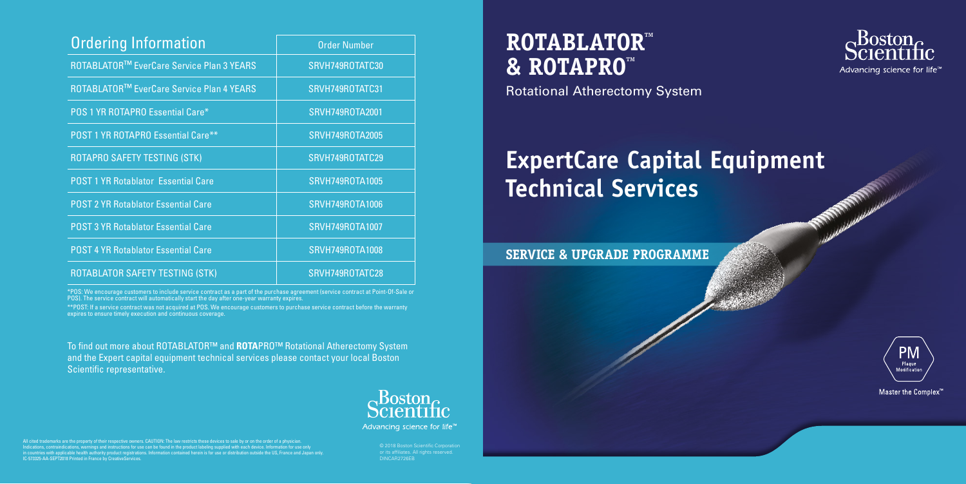# **ExpertCare Capital Equipment Technical Services**

#### **SERVICE & UPGRADE PROGRAMME**





Master the Complex"

All cited trademarks are the property of their respective owners. CAUTION: The law restricts these devices to sale by or on the order of a physician.<br>Indications, contraindications, warnings and instructions for use of the IC-573325-AA-SEPT2018 Printed in France by CreativeServices.

\*POS: We encourage customers to include service contract as a part of the purchase agreement (service contract at Point-Of-Sale or POS). The service contract will automatically start the day after one-year warranty expires.

> or its affiliates. All rights reserved. DINCAR2726EB

## **ROTABLATOR™ & ROTAPRO™**

Rotational Atherectomy System

| <b>Ordering Information</b>                | <b>Order Number</b>    |
|--------------------------------------------|------------------------|
| ROTABLATOR™ EverCare Service Plan 3 YEARS  | SRVH749ROTATC30        |
| ROTABLATOR™ EverCare Service Plan 4 YEARS  | SRVH749ROTATC31        |
| POS 1 YR ROTAPRO Essential Care*           | <b>SRVH749ROTA2001</b> |
| <b>POST 1 YR ROTAPRO Essential Care**</b>  | <b>SRVH749ROTA2005</b> |
| ROTAPRO SAFETY TESTING (STK)               | SRVH749ROTATC29        |
| <b>POST 1 YR Rotablator Essential Care</b> | <b>SRVH749ROTA1005</b> |
| <b>POST 2 YR Rotablator Essential Care</b> | <b>SRVH749ROTA1006</b> |
| <b>POST 3 YR Rotablator Essential Care</b> | <b>SRVH749ROTA1007</b> |
| <b>POST 4 YR Rotablator Essential Care</b> | <b>SRVH749ROTA1008</b> |
| ROTABLATOR SAFETY TESTING (STK)            | SRVH749ROTATC28        |

\*\*POST: If a service contract was not acquired at POS. We encourage customers to purchase service contract before the warranty expires to ensure timely execution and continuous coverage.

To find out more about ROTABLATOR™ and **ROTA**PRO™ Rotational Atherectomy System and the Expert capital equipment technical services please contact your local Boston Scientific representative.